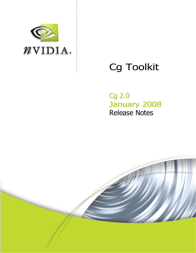

# Cg Toolkit

Cg 2.0 January 2008 Release Notes

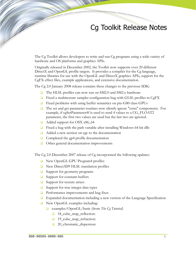## Cg Toolkit Release Notes

The Cg Toolkit allows developers to write and run Cg programs using a wide variety of hardware and OS platforms and graphics APIs.

Originally released in December 2002, the Toolkit now supports over 20 different DirectX and OpenGL profile targets. It provides a compiler for the Cg language, runtime libraries for use with the OpenGL and DirectX graphics APIs, support for the CgFX effect files, example applications, and extensive documentation.

The Cg 2.0 January 2008 release contains these changes to the previous SDK:

- The HLSL profiles can now run on SM2.0 and SM2.x hardware
- $\Box$  Fixed a multitexture sampler configuration bug with GLSL profiles in CgFX
- $\Box$  Fixed problems with using buffer semantics on pre-G80 class GPUs
- The set and get parameter routines now silently ignore "extra" components. For example, if cgSetParameter4f is used to send 4 values to a CG\_FLOAT2 parameter, the first two values are used but the last two are ignored.
- Added support for OSX x86\_64
- $\Box$  Fixed a bug with the path variable after installing Windows 64-bit dlls
- $\Box$  Added a new section on cgc to the documentation
- $\Box$  Completed the gp4 profile documentation
- $\Box$  Other general documentation improvements

The Cg 2.0 December 2007 release of Cg incorporated the following updates:

- New OpenGL GPU Program4 profiles
- New Direct3D9 HLSL translation profiles
- □ Support for geometry programs
- $\Box$  Support for constant buffers
- $\Box$  Support for texture arrays
- $\Box$  Support for true integer data types
- $\Box$  Performance improvements and bug fixes
- **Expanded documentation including a new version of the Language Specification**
- New OpenGL examples including:
	- examples/OpenGL/basic (from *The Cg Tutorial*)
		- 18\_cube\_map\_reflection:
		- 19\_cube\_map\_refraction:
		- 20\_chromatic\_dispersion: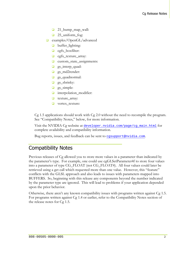- 21\_bump\_map\_wall:
- □ 25\_uniform\_fog:
- examples/OpenGL/advanced
	- **D** buffer\_lighting:
	- **q** cgfx\_boxfilter:
	- **c** cgfx\_texture\_array:
	- custom\_state\_assignments:
	- □ gs\_interp\_quad:
	- □ gs\_md2render:
	- **g**s\_quadnormal:
	- $\Box$  gs\_shrinky:
	- **g**s\_simple:
	- **u** interpolation\_modifier:
	- texture\_array:
	- **u** vertex\_texture:

Cg 1.5 applications should work with Cg 2.0 without the need to recompile the program. See "Compatibility Notes," below, for more information.

Visit the NVIDIA Cg website at developer.nvidia.com/page/cg\_main.html for complete availability and compatibility information.

Bug reports, issues, and feedback can be sent to cgsupport@nvidia.com.

## Compatibility Notes

Previous releases of Cg allowed you to store more values in a parameter than indicated by the parameter's type. For example, one could use cgGLSetParameter4f to store four values into a parameter of type CG\_FLOAT (not CG\_FLOAT4). All four values could later be retrieved using a get call which requested more than one value. However, this "feature" conflicts with the GLSL approach and also leads to issues with parameters mapped into BUFFERS. So, beginning with this release any components beyond the number indicated by the parameter type are ignored. This will lead to problems if your application depended upon the prior behavior.

Otherwise, there aren't any known compatibility issues with programs written against Cg 1.5. For programs written against Cg 1.4 or earlier, refer to the Compatibility Notes section of the release notes for Cg 1.5.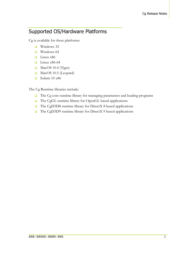## Supported OS/Hardware Platforms

Cg is available for these platforms:

- Windows 32
- $\Box$  Windows 64
- $\Box$  Linux x86
- $\Box$  Linux x86-64
- MacOS 10.4 (Tiger)
- MacOS 10.5 (Leopard)
- $\Box$  Solaris 10 x86

The Cg Runtime libraries include:

- The Cg core runtime library for managing parameters and loading programs
- □ The CgGL runtime library for OpenGL based applications
- □ The CgD3D8 runtime library for DirectX 8 based applications
- $\Box$  The CgD3D9 runtime library for DirectX 9 based applications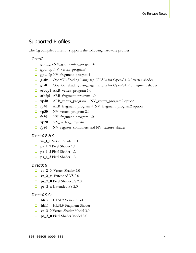## Supported Profiles

The Cg compiler currently supports the following hardware profiles:

#### OpenGL

- **gpu\_gp** NV\_geomemtry\_program4
- **gpu\_vp** NV\_vertex\_program4
- **gpu\_fp** NV\_fragment\_program4
- **glslv** OpenGL Shading Language (GLSL) for OpenGL 2.0 vertex shader
- **glslf** OpenGL Shading Language (GLSL) for OpenGL 2.0 fragment shader
- **arbvp1** ARB\_vertex\_program 1.0
- **arbfp1** ARB\_fragment\_program 1.0
- **vp40** ARB\_vertex\_program + NV\_vertex\_program2 option
- **fp40** ARB\_fragment\_program + NV\_fragment\_program2 option
- **vp30** NV\_vertex\_program 2.0
- **fp30** NV\_fragment\_program 1.0
- **vp20** NV\_vertex\_program 1.0
- **fp20** NV\_register\_combiners and NV\_texture\_shader

#### DirectX 8 & 9

- **vs\_1\_1** Vertex Shader 1.1
- **ps\_1\_1** Pixel Shader 1.1
- **ps\_1\_2** Pixel Shader 1.2
- **ps\_1\_3** Pixel Shader 1.3

#### DirectX 9

- **vs** 2 0 Vertex Shader 2.0
- **vs** 2 x Extended VS 2.0
- **ps\_2\_0** Pixel Shader PS 2.0
- **ps\_2\_x** Extended PS 2.0

#### DirectX 9.0c

- **hlslv HLSL9** Vertex Shader
- **hlslf** HLSL9 Fragment Shader
- **vs\_3\_0** Vertex Shader Model 3.0
- **ps\_3\_0** Pixel Shader Model 3.0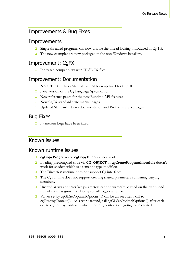## Improvements & Bug Fixes

#### **Improvements**

- $\Box$  Single threaded programs can now disable the thread locking introduced in Cg 1.5.
- $\Box$  The new examples are now packaged in the non-Windows installers.

## Improvement: CgFX

 $\Box$  Increased compatibility with HLSL FX files.

#### Improvement: Documentation

- **Note**: The Cg Users Manual has **not** been updated for Cg 2.0.
- New version of the Cg Language Specification
- $\Box$  New reference pages for the new Runtime API features
- New CgFX standard state manual pages
- □ Updated Standard Library documentation and Profile reference pages

#### Bug Fixes

■ Numerous bugs have been fixed.

#### Known issues

#### Known runtime issues

- **cgCopyProgram** and **cgCopyEffect** do not work.
- Loading precompiled code via **CG\_OBJECT** in **cgCreateProgramFromFile** doesn't work for shaders which use semantic type modifiers.
- $\Box$  The DirectX 8 runtime does not support Cg interfaces.
- $\Box$  The Cg runtime does not support creating shared parameters containing varying members.
- □ Unsized arrays and interface parameters cannot currently be used on the right-hand side of state assignments. Doing so will trigger an error.
- Values set by cgGLSetOptimalOptions(...) can be un-set after a call to cgDestroyContext( ). As a work around, call cgGLSetOptimalOptions( ) after each call to cgDestroyContext( ) when more Cg contexts are going to be created.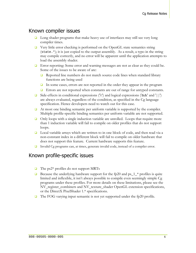#### Known compiler issues

- **Q** Long shader programs that make heavy use of interfaces may still see very long compiler times.
- $\Box$  Very little error checking is performed on the OpenGL state semantics string (state.\*); it is just copied to the output assembly. As a result, a typo in the string may compile correctly, and no error will be apparent until the application attempts to load the assembly shader.
- **E**rror reporting: Some error and warning messages are not as clear as they could be. Some of the issues to be aware of are:
	- Reported line numbers do not match source code lines when standard library functions are being used
	- In some cases, errors are not reported in the order they appear in the program
	- **E** Errors are not reported when constants are out of range for untyped constants.
- Gide-effects in conditional expressions ('?:') and logical expressions ('&&' and '||') are always evaluated, regardless of the condition, as specified in the Cg language specification. Hence developers need to watch out for this case.
- At most one binding semantic per uniform variable is supported by the compiler. Multiple profile-specific binding semantics per uniform variable are not supported.
- $\Box$  Only loops with a single induction variable are unrolled. Loops that require more than 1 induction variable will fail to compile on older profiles that do not support loops.
- $\Box$  Local variable arrays which are written to in one block of code, and then read via a non-constant index in a different block will fail to compile on older hardware that does not support this feature. Current hardware supports this feature.
- Invalid Cg programs can, at times, generate invalid code, instead of a compiler error.

#### Known profile-specific issues

- $\Box$  The ps2\* profiles do not support MRTs
- **Because the underlying hardware support for the fp20 and ps\_1\_\* profiles is quite** limited and inflexible, it isn't always possible to compile even seemingly simple Cg programs under these profiles. For more details on these limitations, please see the NV\_register\_combiners and NV\_texture\_shader OpenGL extension specifications, or the DirectX PixelShader 1.\* specifications.
- □ The FOG varying input semantic is not yet supported under the fp20 profile.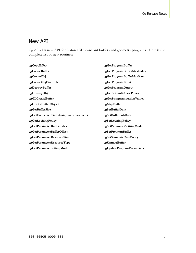#### New API

Cg 2.0 adds new API for features like constant buffers and geometry programs. Here is the complete list of new routines:

**cgCopyEffect cgCreateBuffer cgCreateObj cgCreateObjFromFile cgDestroyBuffer cgDestroyObj cgGLCreateBuffer cgGLGetBufferObject cgGetBufferSize cgGetConnectedStateAssignmentParameter cgGetLockingPolicy cgGetParameterBufferIndex cgGetParameterBufferOffset cgGetParameterResourceSize cgGetParameterResourceType cgGetParameterSettingMode cgGetProgramBuffer cgGetProgramBufferMaxIndex cgGetProgramBufferMaxSize cgGetProgramInput cgGetProgramOutput cgGetSemanticCasePolicy cgGetStringAnnotationValues cgMapBuffer cgSetBufferData cgSetBufferSubData cgSetLockingPolicy cgSetParameterSettingMode cgSetProgramBuffer cgSetSemanticCasePolicy cgUnmapBuffer cgUpdateProgramParameters**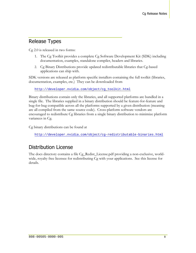#### Release Types

Cg 2.0 is released in two forms:

- 1. The Cg Toolkit provides a complete Cg Software Development Kit (SDK) including documentation, examples, standalone compiler, headers and libraries.
- 2. Cg Binary Distributions provide updated redistributable libraries that Cg-based applications can ship with.

SDK versions are released as platform specific installers containing the full toolkit (libraries, documentation, examples, etc.) They can be downloaded from

http://developer.nvidia.com/object/cg\_toolkit.html

Binary distributions contain only the libraries, and all supported platforms are bundled in a single file. The libraries supplied in a binary distribution should be feature-for-feature and bug-for-bug compatible across all the platforms supported by a given distribution (meaning are all compiled from the same source code). Cross-platform software vendors are encouraged to redistribute Cg libraries from a single binary distribution to minimize platform variances in Cg.

Cg binary distributions can be found at

http://developer.nvidia.com/object/cg-redistributable-binaries.html

#### Distribution License

The docs directory contains a file Cg\_Redist\_License.pdf providing a non-exclusive, worldwide, royalty free licensee for redistributing Cg with your applications. See this license for details.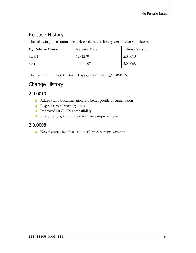## Release History

The following table summarizes release dates and library versions for Cg releases:

| Cg Release Name | <b>Release Date</b> | <b>Library Version</b> |
|-----------------|---------------------|------------------------|
| -SDK1           | 12/12/07            | 2.0.0010               |
| beta            | 11/01/07            | 2.0.0008               |

The Cg library version is returned by cgGetString(CG\_VERSION)

## Change History

#### 2.0.0010

- Added stdlib documentation and better profile documentation
- **Plugged several memory leaks**
- **Improved HLSL FX compatibility**
- **Plus other bug fixes and performance improvements**

#### 2.0.0008

New features, bug fixes, and performance improvements